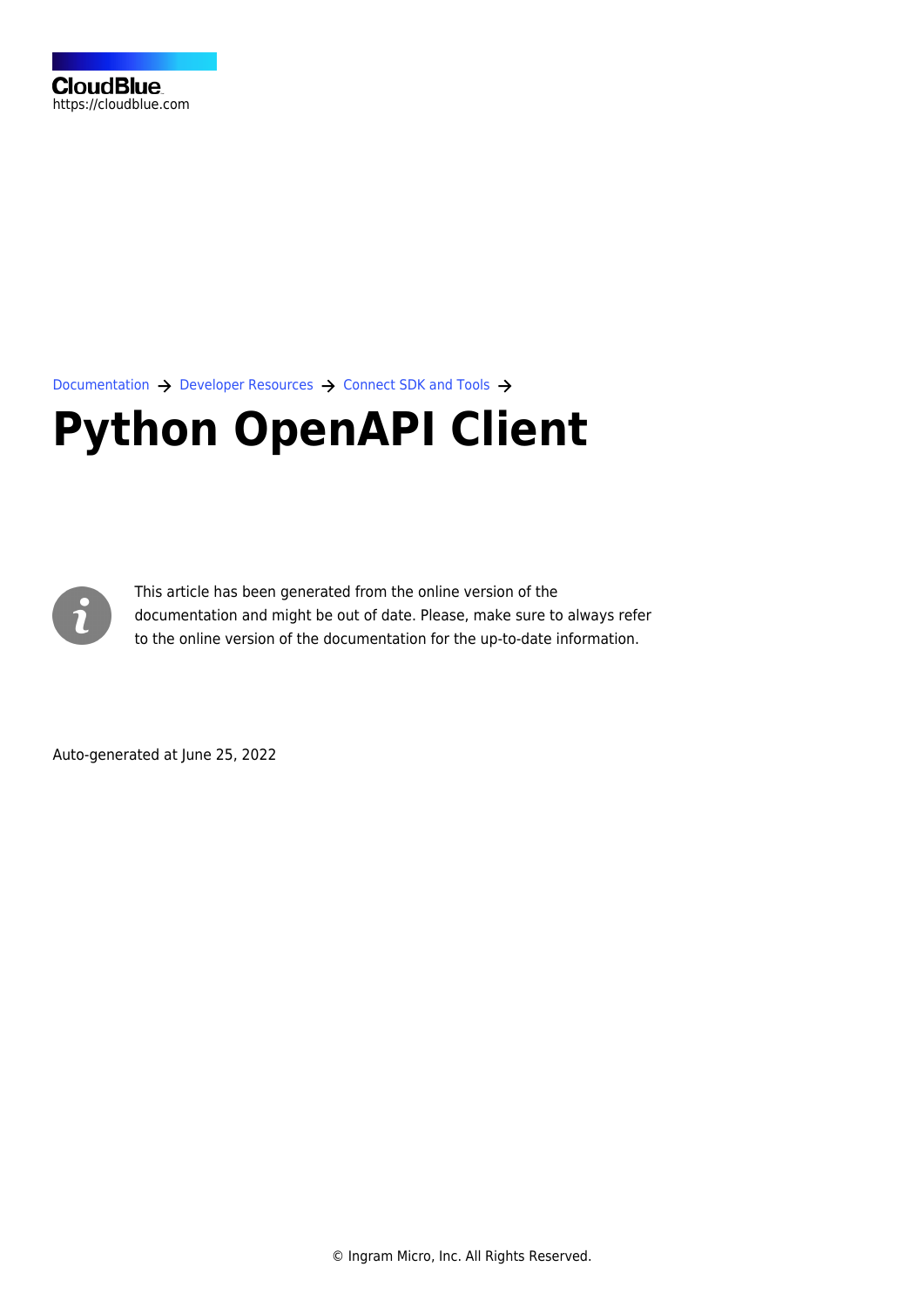[Documentation](https://connect.cloudblue.com/documentation)  $\rightarrow$  [Developer Resources](https://connect.cloudblue.com/community/developers/)  $\rightarrow$  [Connect SDK and Tools](https://connect.cloudblue.com/community/developers/sdk/)  $\rightarrow$ 

# **[Python OpenAPI Client](https://connect.cloudblue.com/community/developers/sdk/python-openapi-client/)**



This article has been generated from the online version of the documentation and might be out of date. Please, make sure to always refer to the online version of the documentation for the up-to-date information.

Auto-generated at June 25, 2022